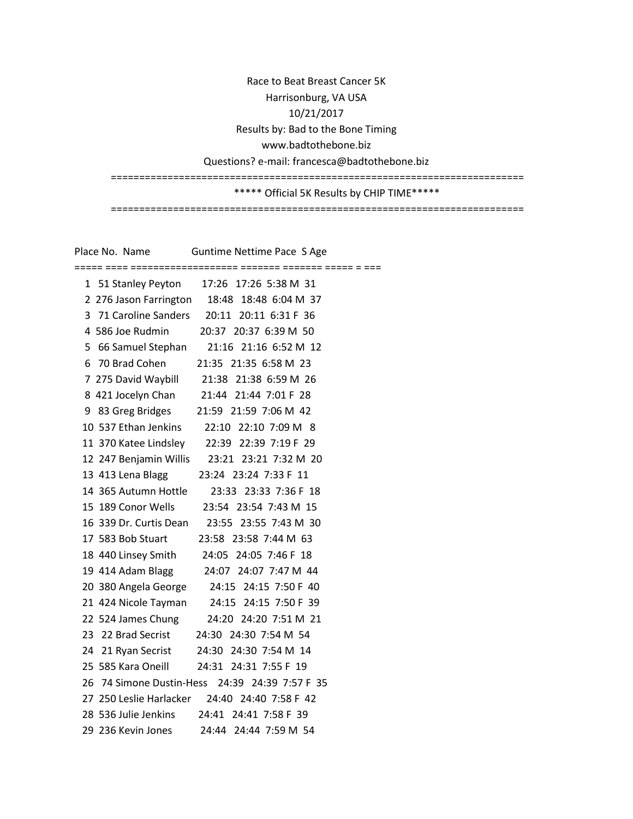Race to Beat Breast Cancer 5K Harrisonburg, VA USA 10/21/2017 Results by: Bad to the Bone Timing www.badtothebone.biz Questions? e-mail: francesca@badtothebone.biz ========================================================================= \*\*\*\*\* Official 5K Results by CHIP TIME\*\*\*\*\* =========================================================================

Place No. Name Guntime Nettime Pace S Age ===== ==== =================== ======= ======= ===== = === 1 51 Stanley Peyton 17:26 17:26 5:38 M 31 2 276 Jason Farrington 18:48 18:48 6:04 M 37 3 71 Caroline Sanders 20:11 20:11 6:31 F 36 4 586 Joe Rudmin 20:37 20:37 6:39 M 50 5 66 Samuel Stephan 21:16 21:16 6:52 M 12 6 70 Brad Cohen 21:35 21:35 6:58 M 23 7 275 David Waybill 21:38 21:38 6:59 M 26 8 421 Jocelyn Chan 21:44 21:44 7:01 F 28 9 83 Greg Bridges 21:59 21:59 7:06 M 42 10 537 Ethan Jenkins 22:10 22:10 7:09 M 8 11 370 Katee Lindsley 22:39 22:39 7:19 F 29 12 247 Benjamin Willis 23:21 23:21 7:32 M 20 13 413 Lena Blagg 23:24 23:24 7:33 F 11 14 365 Autumn Hottle 23:33 23:33 7:36 F 18 15 189 Conor Wells 23:54 23:54 7:43 M 15 16 339 Dr. Curtis Dean 23:55 23:55 7:43 M 30 17 583 Bob Stuart 23:58 23:58 7:44 M 63 18 440 Linsey Smith 24:05 24:05 7:46 F 18 19 414 Adam Blagg 24:07 24:07 7:47 M 44 20 380 Angela George 24:15 24:15 7:50 F 40 21 424 Nicole Tayman 24:15 24:15 7:50 F 39 22 524 James Chung 24:20 24:20 7:51 M 21 23 22 Brad Secrist 24:30 24:30 7:54 M 54 24 21 Ryan Secrist 24:30 24:30 7:54 M 14 25 585 Kara Oneill 24:31 24:31 7:55 F 19 26 74 Simone Dustin-Hess 24:39 24:39 7:57 F 35 27 250 Leslie Harlacker 24:40 24:40 7:58 F 42 28 536 Julie Jenkins 24:41 24:41 7:58 F 39 29 236 Kevin Jones 24:44 24:44 7:59 M 54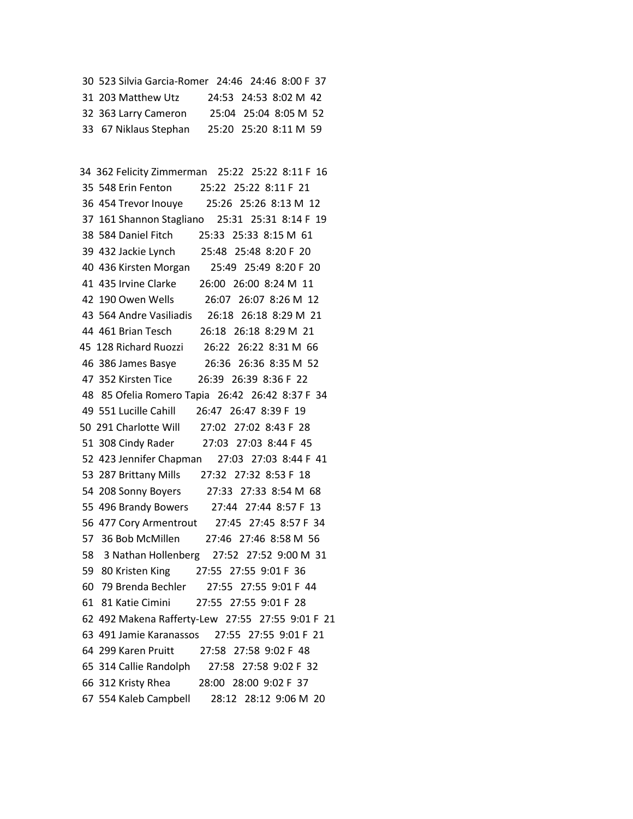30 523 Silvia Garcia-Romer 24:46 24:46 8:00 F 37 31 203 Matthew Utz 24:53 24:53 8:02 M 42 32 363 Larry Cameron 25:04 25:04 8:05 M 52 33 67 Niklaus Stephan 25:20 25:20 8:11 M 59

 34 362 Felicity Zimmerman 25:22 25:22 8:11 F 16 35 548 Erin Fenton 25:22 25:22 8:11 F 21 36 454 Trevor Inouye 25:26 25:26 8:13 M 12 37 161 Shannon Stagliano 25:31 25:31 8:14 F 19 38 584 Daniel Fitch 25:33 25:33 8:15 M 61 39 432 Jackie Lynch 25:48 25:48 8:20 F 20 40 436 Kirsten Morgan 25:49 25:49 8:20 F 20 41 435 Irvine Clarke 26:00 26:00 8:24 M 11 42 190 Owen Wells 26:07 26:07 8:26 M 12 43 564 Andre Vasiliadis 26:18 26:18 8:29 M 21 44 461 Brian Tesch 26:18 26:18 8:29 M 21 45 128 Richard Ruozzi 26:22 26:22 8:31 M 66 46 386 James Basye 26:36 26:36 8:35 M 52 47 352 Kirsten Tice 26:39 26:39 8:36 F 22 48 85 Ofelia Romero Tapia 26:42 26:42 8:37 F 34 49 551 Lucille Cahill 26:47 26:47 8:39 F 19 50 291 Charlotte Will 27:02 27:02 8:43 F 28 51 308 Cindy Rader 27:03 27:03 8:44 F 45 52 423 Jennifer Chapman 27:03 27:03 8:44 F 41 53 287 Brittany Mills 27:32 27:32 8:53 F 18 54 208 Sonny Boyers 27:33 27:33 8:54 M 68 55 496 Brandy Bowers 27:44 27:44 8:57 F 13 56 477 Cory Armentrout 27:45 27:45 8:57 F 34 57 36 Bob McMillen 27:46 27:46 8:58 M 56 58 3 Nathan Hollenberg 27:52 27:52 9:00 M 31 59 80 Kristen King 27:55 27:55 9:01 F 36 60 79 Brenda Bechler 27:55 27:55 9:01 F 44 61 81 Katie Cimini 27:55 27:55 9:01 F 28 62 492 Makena Rafferty-Lew 27:55 27:55 9:01 F 21 63 491 Jamie Karanassos 27:55 27:55 9:01 F 21 64 299 Karen Pruitt 27:58 27:58 9:02 F 48 65 314 Callie Randolph 27:58 27:58 9:02 F 32 66 312 Kristy Rhea 28:00 28:00 9:02 F 37 67 554 Kaleb Campbell 28:12 28:12 9:06 M 20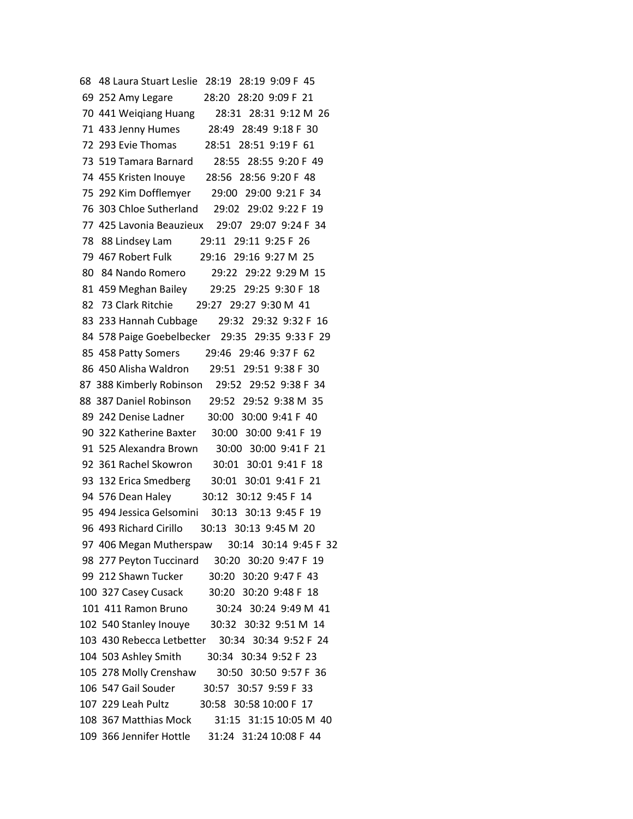68 48 Laura Stuart Leslie 28:19 28:19 9:09 F 45 69 252 Amy Legare 28:20 28:20 9:09 F 21 70 441 Weiqiang Huang 28:31 28:31 9:12 M 26 71 433 Jenny Humes 28:49 28:49 9:18 F 30 72 293 Evie Thomas 28:51 28:51 9:19 F 61 73 519 Tamara Barnard 28:55 28:55 9:20 F 49 74 455 Kristen Inouye 28:56 28:56 9:20 F 48 75 292 Kim Dofflemyer 29:00 29:00 9:21 F 34 76 303 Chloe Sutherland 29:02 29:02 9:22 F 19 77 425 Lavonia Beauzieux 29:07 29:07 9:24 F 34 78 88 Lindsey Lam 29:11 29:11 9:25 F 26 79 467 Robert Fulk 29:16 29:16 9:27 M 25 80 84 Nando Romero 29:22 29:22 9:29 M 15 81 459 Meghan Bailey 29:25 29:25 9:30 F 18 82 73 Clark Ritchie 29:27 29:27 9:30 M 41 83 233 Hannah Cubbage 29:32 29:32 9:32 F 16 84 578 Paige Goebelbecker 29:35 29:35 9:33 F 29 85 458 Patty Somers 29:46 29:46 9:37 F 62 86 450 Alisha Waldron 29:51 29:51 9:38 F 30 87 388 Kimberly Robinson 29:52 29:52 9:38 F 34 88 387 Daniel Robinson 29:52 29:52 9:38 M 35 89 242 Denise Ladner 30:00 30:00 9:41 F 40 90 322 Katherine Baxter 30:00 30:00 9:41 F 19 91 525 Alexandra Brown 30:00 30:00 9:41 F 21 92 361 Rachel Skowron 30:01 30:01 9:41 F 18 93 132 Erica Smedberg 30:01 30:01 9:41 F 21 94 576 Dean Haley 30:12 30:12 9:45 F 14 95 494 Jessica Gelsomini 30:13 30:13 9:45 F 19 96 493 Richard Cirillo 30:13 30:13 9:45 M 20 97 406 Megan Mutherspaw 30:14 30:14 9:45 F 32 98 277 Peyton Tuccinard 30:20 30:20 9:47 F 19 99 212 Shawn Tucker 30:20 30:20 9:47 F 43 100 327 Casey Cusack 30:20 30:20 9:48 F 18 101 411 Ramon Bruno 30:24 30:24 9:49 M 41 102 540 Stanley Inouye 30:32 30:32 9:51 M 14 103 430 Rebecca Letbetter 30:34 30:34 9:52 F 24 104 503 Ashley Smith 30:34 30:34 9:52 F 23 105 278 Molly Crenshaw 30:50 30:50 9:57 F 36 106 547 Gail Souder 30:57 30:57 9:59 F 33 107 229 Leah Pultz 30:58 30:58 10:00 F 17 108 367 Matthias Mock 31:15 31:15 10:05 M 40 109 366 Jennifer Hottle 31:24 31:24 10:08 F 44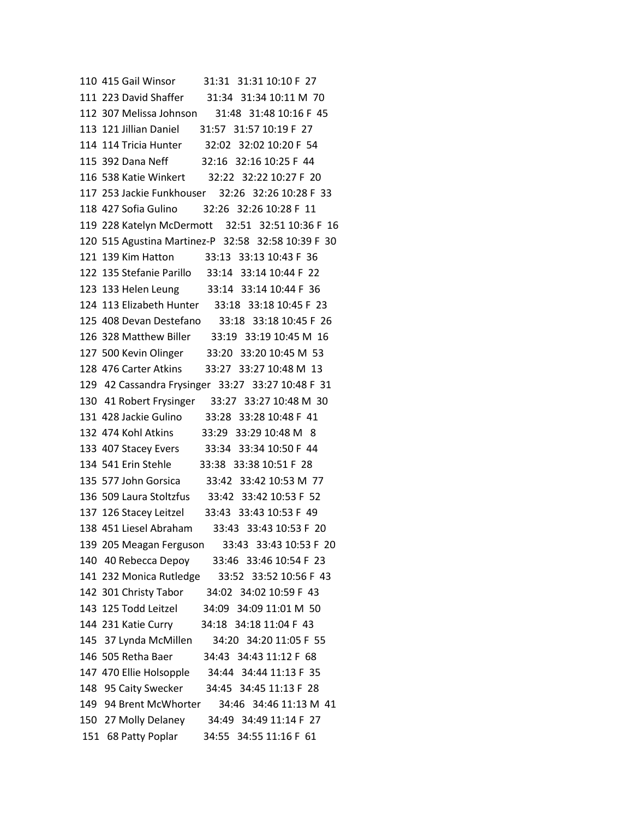110 415 Gail Winsor 31:31 31:31 10:10 F 27 111 223 David Shaffer 31:34 31:34 10:11 M 70 112 307 Melissa Johnson 31:48 31:48 10:16 F 45 113 121 Jillian Daniel 31:57 31:57 10:19 F 27 114 114 Tricia Hunter 32:02 32:02 10:20 F 54 115 392 Dana Neff 32:16 32:16 10:25 F 44 116 538 Katie Winkert 32:22 32:22 10:27 F 20 117 253 Jackie Funkhouser 32:26 32:26 10:28 F 33 118 427 Sofia Gulino 32:26 32:26 10:28 F 11 119 228 Katelyn McDermott 32:51 32:51 10:36 F 16 120 515 Agustina Martinez-P 32:58 32:58 10:39 F 30 121 139 Kim Hatton 33:13 33:13 10:43 F 36 122 135 Stefanie Parillo 33:14 33:14 10:44 F 22 123 133 Helen Leung 33:14 33:14 10:44 F 36 124 113 Elizabeth Hunter 33:18 33:18 10:45 F 23 125 408 Devan Destefano 33:18 33:18 10:45 F 26 126 328 Matthew Biller 33:19 33:19 10:45 M 16 127 500 Kevin Olinger 33:20 33:20 10:45 M 53 128 476 Carter Atkins 33:27 33:27 10:48 M 13 129 42 Cassandra Frysinger 33:27 33:27 10:48 F 31 130 41 Robert Frysinger 33:27 33:27 10:48 M 30 131 428 Jackie Gulino 33:28 33:28 10:48 F 41 132 474 Kohl Atkins 33:29 33:29 10:48 M 8 133 407 Stacey Evers 33:34 33:34 10:50 F 44 134 541 Erin Stehle 33:38 33:38 10:51 F 28 135 577 John Gorsica 33:42 33:42 10:53 M 77 136 509 Laura Stoltzfus 33:42 33:42 10:53 F 52 137 126 Stacey Leitzel 33:43 33:43 10:53 F 49 138 451 Liesel Abraham 33:43 33:43 10:53 F 20 139 205 Meagan Ferguson 33:43 33:43 10:53 F 20 140 40 Rebecca Depoy 33:46 33:46 10:54 F 23 141 232 Monica Rutledge 33:52 33:52 10:56 F 43 142 301 Christy Tabor 34:02 34:02 10:59 F 43 143 125 Todd Leitzel 34:09 34:09 11:01 M 50 144 231 Katie Curry 34:18 34:18 11:04 F 43 145 37 Lynda McMillen 34:20 34:20 11:05 F 55 146 505 Retha Baer 34:43 34:43 11:12 F 68 147 470 Ellie Holsopple 34:44 34:44 11:13 F 35 148 95 Caity Swecker 34:45 34:45 11:13 F 28 149 94 Brent McWhorter 34:46 34:46 11:13 M 41 150 27 Molly Delaney 34:49 34:49 11:14 F 27 151 68 Patty Poplar 34:55 34:55 11:16 F 61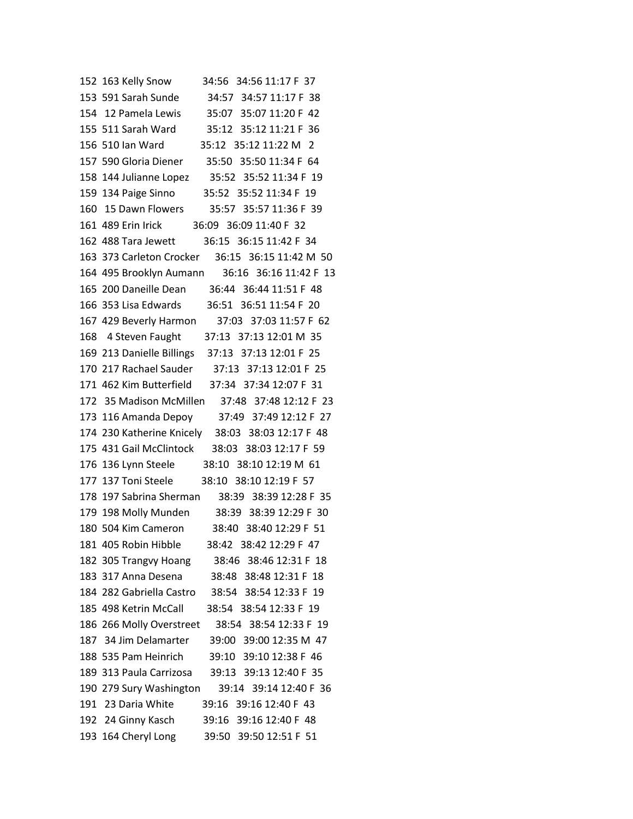| 34:56 34:56 11:17 F 37<br>152 163 Kelly Snow       |  |
|----------------------------------------------------|--|
| 153 591 Sarah Sunde 34:57 34:57 11:17 F 38         |  |
| 154 12 Pamela Lewis 35:07 35:07 11:20 F 42         |  |
| 155 511 Sarah Ward<br>35:12 35:12 11:21 F 36       |  |
| 156 510 Ian Ward<br>35:12 35:12 11:22 M 2          |  |
| 157 590 Gloria Diener 35:50 35:50 11:34 F 64       |  |
| 158 144 Julianne Lopez 35:52 35:52 11:34 F 19      |  |
| 35:52 35:52 11:34 F 19<br>159 134 Paige Sinno      |  |
| 160 15 Dawn Flowers<br>35:57 35:57 11:36 F 39      |  |
| 161 489 Erin Irick 36:09 36:09 11:40 F 32          |  |
| 36:15 36:15 11:42 F 34<br>162 488 Tara Jewett      |  |
| 163 373 Carleton Crocker 36:15 36:15 11:42 M 50    |  |
| 164 495 Brooklyn Aumann 36:16 36:16 11:42 F 13     |  |
| 165 200 Daneille Dean 36:44 36:44 11:51 F 48       |  |
| 166 353 Lisa Edwards 36:51 36:51 11:54 F 20        |  |
| 167 429 Beverly Harmon 37:03 37:03 11:57 F 62      |  |
| 168 4 Steven Faught 37:13 37:13 12:01 M 35         |  |
| 169 213 Danielle Billings 37:13 37:13 12:01 F 25   |  |
| 170 217 Rachael Sauder 37:13 37:13 12:01 F 25      |  |
| 171 462 Kim Butterfield 37:34 37:34 12:07 F 31     |  |
| 172 35 Madison McMillen 37:48 37:48 12:12 F 23     |  |
| 173 116 Amanda Depoy 37:49 37:49 12:12 F 27        |  |
| 174 230 Katherine Knicely 38:03 38:03 12:17 F 48   |  |
| 175 431 Gail McClintock 38:03 38:03 12:17 F 59     |  |
| 176 136 Lynn Steele 38:10 38:10 12:19 M 61         |  |
| 177 137 Toni Steele 38:10 38:10 12:19 F 57         |  |
| 178 197 Sabrina Sherman 38:39 38:39 12:28 F 35     |  |
| 179 198 Molly Munden 38:39 38:39 12:29 F 30        |  |
| 180 504 Kim Cameron 38:40 38:40 12:29 F 51         |  |
| 181 405 Robin Hibble<br>38:42 38:42 12:29 F 47     |  |
| 182 305 Trangvy Hoang<br>38:46 38:46 12:31 F 18    |  |
| 183 317 Anna Desena<br>38:48 38:48 12:31 F 18      |  |
| 184 282 Gabriella Castro<br>38:54 38:54 12:33 F 19 |  |
| 185 498 Ketrin McCall<br>38:54 38:54 12:33 F 19    |  |
| 186 266 Molly Overstreet<br>38:54 38:54 12:33 F 19 |  |
| 187 34 Jim Delamarter<br>39:00 39:00 12:35 M 47    |  |
| 39:10 39:10 12:38 F 46<br>188 535 Pam Heinrich     |  |
| 189 313 Paula Carrizosa<br>39:13 39:13 12:40 F 35  |  |
| 190 279 Sury Washington<br>39:14 39:14 12:40 F 36  |  |
| 191 23 Daria White<br>39:16 39:16 12:40 F 43       |  |
| 192 24 Ginny Kasch<br>39:16 39:16 12:40 F 48       |  |
| 193 164 Cheryl Long<br>39:50 39:50 12:51 F 51      |  |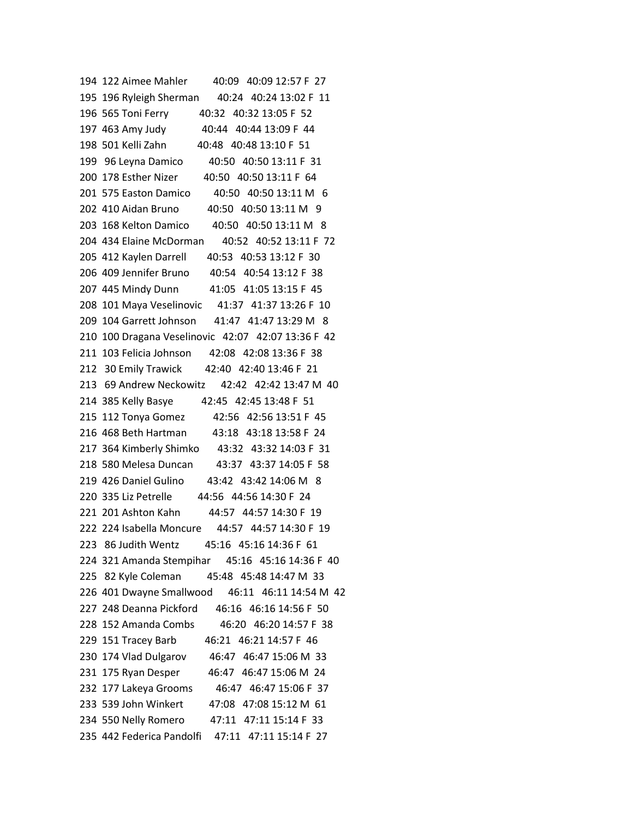194 122 Aimee Mahler 40:09 40:09 12:57 F 27 195 196 Ryleigh Sherman 40:24 40:24 13:02 F 11 196 565 Toni Ferry 40:32 40:32 13:05 F 52 197 463 Amy Judy 40:44 40:44 13:09 F 44 198 501 Kelli Zahn 40:48 40:48 13:10 F 51 199 96 Leyna Damico 40:50 40:50 13:11 F 31 200 178 Esther Nizer 40:50 40:50 13:11 F 64 201 575 Easton Damico 40:50 40:50 13:11 M 6 202 410 Aidan Bruno 40:50 40:50 13:11 M 9 203 168 Kelton Damico 40:50 40:50 13:11 M 8 204 434 Elaine McDorman 40:52 40:52 13:11 F 72 205 412 Kaylen Darrell 40:53 40:53 13:12 F 30 206 409 Jennifer Bruno 40:54 40:54 13:12 F 38 207 445 Mindy Dunn 41:05 41:05 13:15 F 45 208 101 Maya Veselinovic 41:37 41:37 13:26 F 10 209 104 Garrett Johnson 41:47 41:47 13:29 M 8 210 100 Dragana Veselinovic 42:07 42:07 13:36 F 42 211 103 Felicia Johnson 42:08 42:08 13:36 F 38 212 30 Emily Trawick 42:40 42:40 13:46 F 21 213 69 Andrew Neckowitz 42:42 42:42 13:47 M 40 214 385 Kelly Basye 42:45 42:45 13:48 F 51 215 112 Tonya Gomez 42:56 42:56 13:51 F 45 216 468 Beth Hartman 43:18 43:18 13:58 F 24 217 364 Kimberly Shimko 43:32 43:32 14:03 F 31 218 580 Melesa Duncan 43:37 43:37 14:05 F 58 219 426 Daniel Gulino 43:42 43:42 14:06 M 8 220 335 Liz Petrelle 44:56 44:56 14:30 F 24 221 201 Ashton Kahn 44:57 44:57 14:30 F 19 222 224 Isabella Moncure 44:57 44:57 14:30 F 19 223 86 Judith Wentz 45:16 45:16 14:36 F 61 224 321 Amanda Stempihar 45:16 45:16 14:36 F 40 225 82 Kyle Coleman 45:48 45:48 14:47 M 33 226 401 Dwayne Smallwood 46:11 46:11 14:54 M 42 227 248 Deanna Pickford 46:16 46:16 14:56 F 50 228 152 Amanda Combs 46:20 46:20 14:57 F 38 229 151 Tracey Barb 46:21 46:21 14:57 F 46 230 174 Vlad Dulgarov 46:47 46:47 15:06 M 33 231 175 Ryan Desper 46:47 46:47 15:06 M 24 232 177 Lakeya Grooms 46:47 46:47 15:06 F 37 233 539 John Winkert 47:08 47:08 15:12 M 61 234 550 Nelly Romero 47:11 47:11 15:14 F 33 235 442 Federica Pandolfi 47:11 47:11 15:14 F 27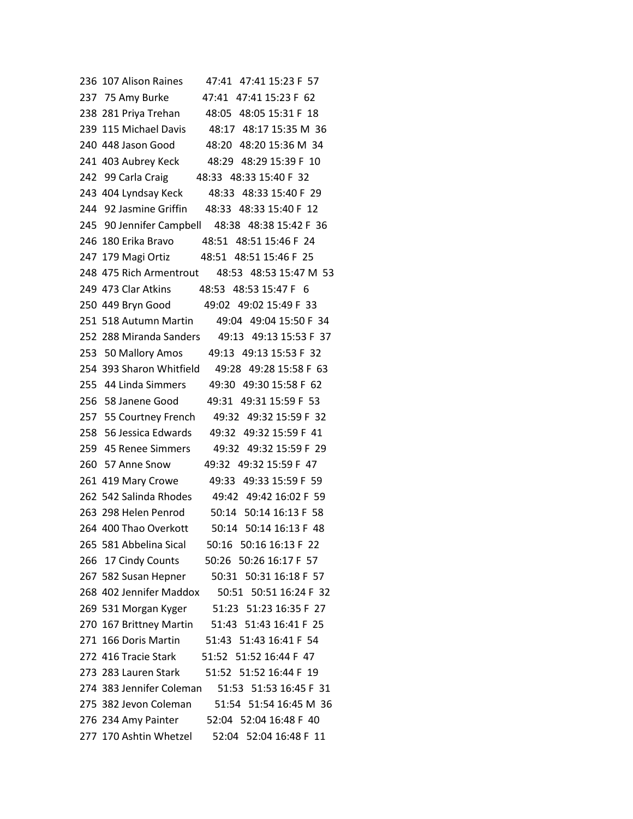| 236 107 Alison Raines<br>47:41 47:41 15:23 F 57    |
|----------------------------------------------------|
| 47:41 47:41 15:23 F 62<br>237 75 Amy Burke         |
| 238 281 Priya Trehan<br>48:05 48:05 15:31 F 18     |
| 239 115 Michael Davis 48:17 48:17 15:35 M 36       |
| 240 448 Jason Good<br>48:20 48:20 15:36 M 34       |
| 48:29 48:29 15:39 F 10<br>241  403 Aubrey Keck     |
| 242 99 Carla Craig<br>48:33 48:33 15:40 F 32       |
| 48:33 48:33 15:40 F 29<br>243 404 Lyndsay Keck     |
| 244 92 Jasmine Griffin 48:33 48:33 15:40 F 12      |
| 245 90 Jennifer Campbell 48:38 48:38 15:42 F 36    |
| 246 180 Erika Bravo 48:51 48:51 15:46 F 24         |
| 247 179 Magi Ortiz 48:51 48:51 15:46 F 25          |
| 248 475 Rich Armentrout 48:53 48:53 15:47 M 53     |
| 249 473 Clar Atkins 48:53 48:53 15:47 F 6          |
| 250 449 Bryn Good 49:02 49:02 15:49 F 33           |
| 251 518 Autumn Martin<br>49:04 49:04 15:50 F 34    |
| 252 288 Miranda Sanders 49:13 49:13 15:53 F 37     |
| 253 50 Mallory Amos<br>49:13 49:13 15:53 F 32      |
| 254 393 Sharon Whitfield<br>49:28 49:28 15:58 F 63 |
| 255 44 Linda Simmers<br>49:30 49:30 15:58 F 62     |
| 256 58 Janene Good<br>49:31 49:31 15:59 F 53       |
| 49:32 49:32 15:59 F 32<br>257 55 Courtney French   |
| 258 56 Jessica Edwards<br>49:32 49:32 15:59 F 41   |
| 259 45 Renee Simmers<br>49:32 49:32 15:59 F 29     |
| 260 57 Anne Snow<br>49:32 49:32 15:59 F 47         |
| 261 419 Mary Crowe<br>49:33 49:33 15:59 F 59       |
| 262 542 Salinda Rhodes 49:42 49:42 16:02 F 59      |
| 50:14 50:14 16:13 F 58<br>263 298 Helen Penrod     |
| 50:14 50:14 16:13 F 48<br>264 400 Thao Overkott    |
| 265 581 Abbelina Sical<br>50:16 50:16 16:13 F 22   |
| 50:26 50:26 16:17 F 57<br>266 17 Cindy Counts      |
| 50:31 50:31 16:18 F 57<br>267 582 Susan Hepner     |
| 268 402 Jennifer Maddox<br>50:51 50:51 16:24 F 32  |
| 269 531 Morgan Kyger<br>51:23 51:23 16:35 F 27     |
| 270 167 Brittney Martin<br>51:43 51:43 16:41 F 25  |
| 271 166 Doris Martin<br>51:43 51:43 16:41 F 54     |
| 51:52 51:52 16:44 F 47<br>272 416 Tracie Stark     |
| 273 283 Lauren Stark 51:52 51:52 16:44 F 19        |
| 274 383 Jennifer Coleman<br>51:53 51:53 16:45 F 31 |
| 275 382 Jevon Coleman<br>51:54 51:54 16:45 M 36    |
| 52:04 52:04 16:48 F 40<br>276 234 Amy Painter      |
| 277 170 Ashtin Whetzel<br>52:04 52:04 16:48 F 11   |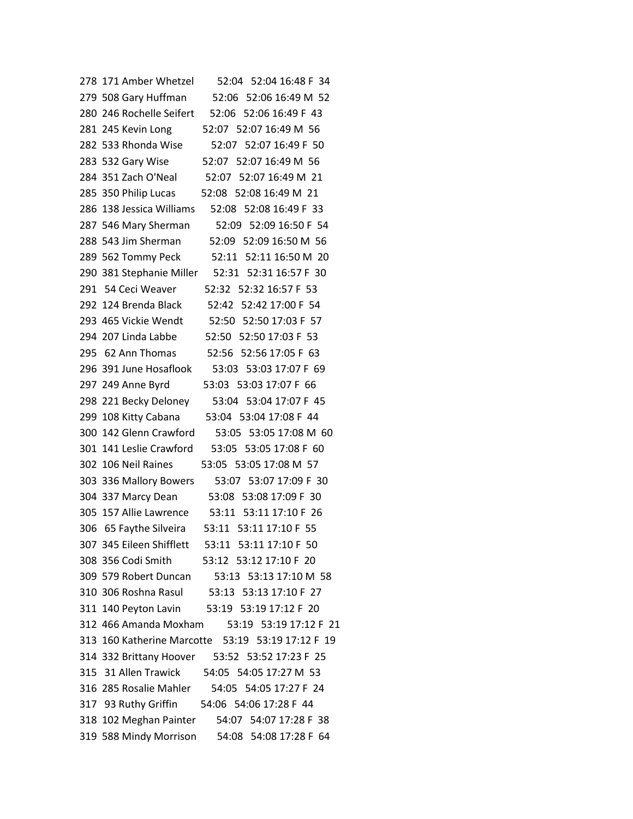| 278 171 Amber Whetzel<br>52:04 52:04 16:48 F 34    |
|----------------------------------------------------|
| 52:06 52:06 16:49 M 52<br>279 508 Gary Huffman     |
| 280 246 Rochelle Seifert<br>52:06 52:06 16:49 F 43 |
| 281 245 Kevin Long<br>52:07 52:07 16:49 M 56       |
| 282 533 Rhonda Wise<br>52:07 52:07 16:49 F 50      |
| 52:07 52:07 16:49 M 56<br>283 532 Gary Wise        |
| 284 351 Zach O'Neal 52:07 52:07 16:49 M 21         |
| 285 350 Philip Lucas<br>52:08 52:08 16:49 M 21     |
| 286 138 Jessica Williams<br>52:08 52:08 16:49 F 33 |
| 287 546 Mary Sherman<br>52:09 52:09 16:50 F 54     |
| 288 543 Jim Sherman<br>52:09 52:09 16:50 M 56      |
| 289 562 Tommy Peck<br>52:11 52:11 16:50 M 20       |
| 290 381 Stephanie Miller 52:31 52:31 16:57 F 30    |
| 291 54 Ceci Weaver<br>52:32 52:32 16:57 F 53       |
| 292 124 Brenda Black<br>52:42 52:42 17:00 F 54     |
| 293 465 Vickie Wendt<br>52:50 52:50 17:03 F 57     |
| 294 207 Linda Labbe<br>52:50 52:50 17:03 F 53      |
| 52:56 52:56 17:05 F 63<br>295 62 Ann Thomas        |
| 296 391 June Hosaflook<br>53:03 53:03 17:07 F 69   |
| 53:03 53:03 17:07 F 66<br>297 249 Anne Byrd        |
| 298 221 Becky Deloney<br>53:04 53:04 17:07 F 45    |
| 299 108 Kitty Cabana<br>53:04 53:04 17:08 F 44     |
| 300 142 Glenn Crawford<br>53:05 53:05 17:08 M 60   |
| 301 141 Leslie Crawford<br>53:05 53:05 17:08 F 60  |
| 53:05 53:05 17:08 M 57<br>302 106 Neil Raines      |
| 303 336 Mallory Bowers<br>53:07 53:07 17:09 F 30   |
| 304 337 Marcy Dean<br>53:08 53:08 17:09 F 30       |
| 305 157 Allie Lawrence 53:11 53:11 17:10 F 26      |
| 53:11 53:11 17:10 F 55<br>306 65 Faythe Silveira   |
| 307 345 Eileen Shifflett<br>53:11 53:11 17:10 F 50 |
| 308 356 Codi Smith 53:12 53:12 17:10 F 20          |
| 309 579 Robert Duncan 53:13 53:13 17:10 M 58       |
| 310 306 Roshna Rasul 53:13 53:13 17:10 F 27        |
| 311 140 Peyton Lavin 53:19 53:19 17:12 F 20        |
| 312 466 Amanda Moxham 53:19 53:19 17:12 F 21       |
| 313 160 Katherine Marcotte 53:19 53:19 17:12 F 19  |
| 314 332 Brittany Hoover 53:52 53:52 17:23 F 25     |
| 315 31 Allen Trawick 54:05 54:05 17:27 M 53        |
| 316 285 Rosalie Mahler 54:05 54:05 17:27 F 24      |
| 317 93 Ruthy Griffin 54:06 54:06 17:28 F 44        |
| 318 102 Meghan Painter 54:07 54:07 17:28 F 38      |
| 319 588 Mindy Morrison 54:08 54:08 17:28 F 64      |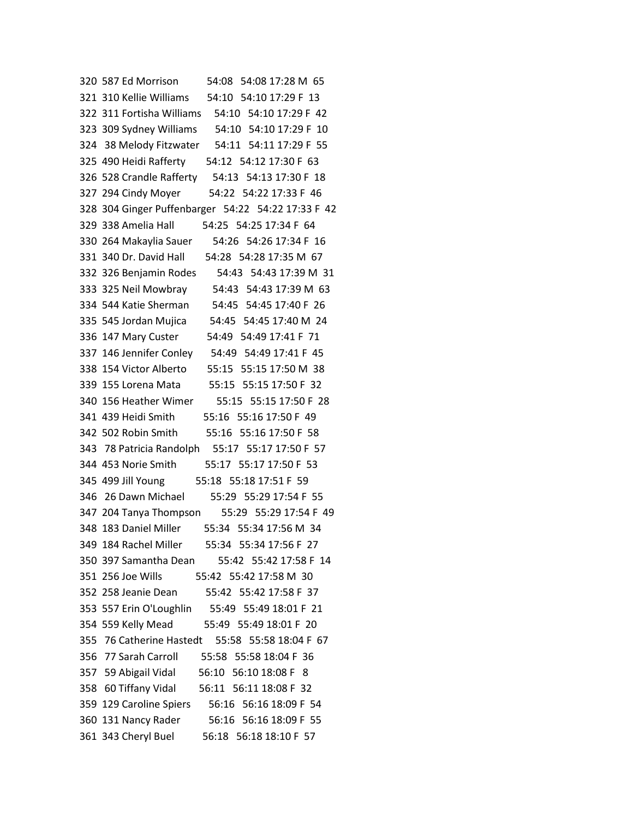| 320 587 Ed Morrison<br>54:08 54:08 17:28 M 65      |
|----------------------------------------------------|
| 321 310 Kellie Williams 54:10 54:10 17:29 F 13     |
| 322 311 Fortisha Williams 54:10 54:10 17:29 F 42   |
| 323 309 Sydney Williams 54:10 54:10 17:29 F 10     |
| 324 38 Melody Fitzwater 54:11 54:11 17:29 F 55     |
| 325 490 Heidi Rafferty 54:12 54:12 17:30 F 63      |
| 326 528 Crandle Rafferty 54:13 54:13 17:30 F 18    |
| 327 294 Cindy Moyer 54:22 54:22 17:33 F 46         |
| 328 304 Ginger Puffenbarger 54:22 54:22 17:33 F 42 |
| 329 338 Amelia Hall 54:25 54:25 17:34 F 64         |
| 54:26 54:26 17:34 F 16<br>330 264 Makaylia Sauer   |
| 54:28 54:28 17:35 M 67<br>331 340 Dr. David Hall   |
| 54:43 54:43 17:39 M 31<br>332 326 Benjamin Rodes   |
| 333 325 Neil Mowbray<br>54:43 54:43 17:39 M 63     |
| 334 544 Katie Sherman 54:45 54:45 17:40 F 26       |
| 335 545 Jordan Mujica 54:45 54:45 17:40 M 24       |
| 54:49 54:49 17:41 F 71<br>336 147 Mary Custer      |
| 337 146 Jennifer Conley 54:49 54:49 17:41 F 45     |
| 55:15 55:15 17:50 M 38<br>338 154 Victor Alberto   |
| 55:15 55:15 17:50 F 32<br>339 155 Lorena Mata      |
| 55:15 55:15 17:50 F 28<br>340 156 Heather Wimer    |
| 55:16 55:16 17:50 F 49<br>341 439 Heidi Smith      |
| 342 502 Robin Smith 55:16 55:16 17:50 F 58         |
| 343 78 Patricia Randolph 55:17 55:17 17:50 F 57    |
| 344 453 Norie Smith 55:17 55:17 17:50 F 53         |
| 345 499 Jill Young 55:18 55:18 17:51 F 59          |
| 346 26 Dawn Michael 55:29 55:29 17:54 F 55         |
| 347 204 Tanya Thompson 55:29 55:29 17:54 F 49      |
| 348 183 Daniel Miller 55:34 55:34 17:56 M 34       |
| 349 184 Rachel Miller<br>55:34 55:34 17:56 F 27    |
| 350 397 Samantha Dean 55:42 55:42 17:58 F 14       |
| 351 256 Joe Wills 55:42 55:42 17:58 M 30           |
| 352 258 Jeanie Dean 55:42 55:42 17:58 F 37         |
| 353 557 Erin O'Loughlin 55:49 55:49 18:01 F 21     |
| 354 559 Kelly Mead<br>55:49 55:49 18:01 F 20       |
| 355 76 Catherine Hastedt 55:58 55:58 18:04 F 67    |
| 356 77 Sarah Carroll 55:58 55:58 18:04 F 36        |
| 357 59 Abigail Vidal 56:10 56:10 18:08 F 8         |
| 358 60 Tiffany Vidal 56:11 56:11 18:08 F 32        |
| 359 129 Caroline Spiers<br>56:16 56:16 18:09 F 54  |
| 360 131 Nancy Rader 56:16 56:16 18:09 F 55         |
| 361 343 Cheryl Buel<br>56:18 56:18 18:10 F 57      |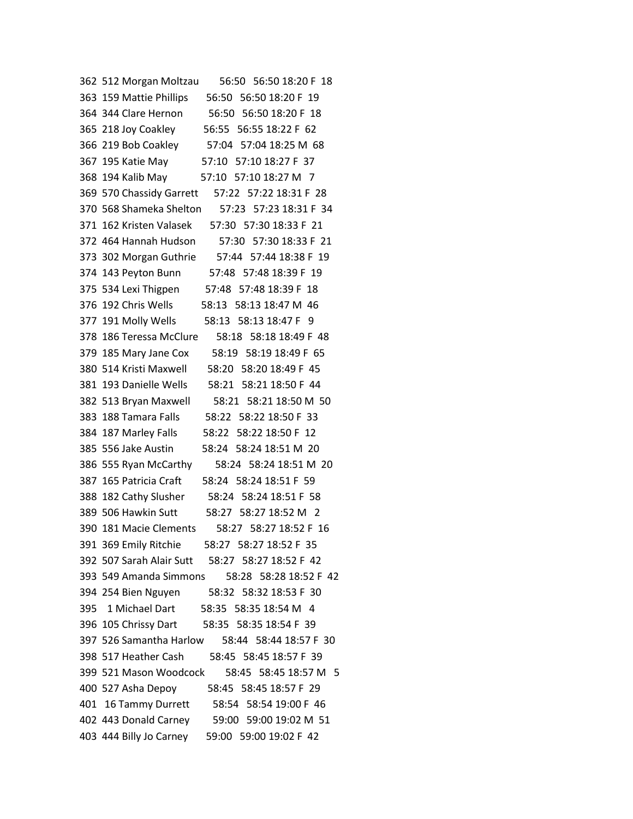| 56:50 56:50 18:20 F 18<br>362 512 Morgan Moltzau  |
|---------------------------------------------------|
| 363 159 Mattie Phillips 56:50 56:50 18:20 F 19    |
| 364 344 Clare Hernon 56:50 56:50 18:20 F 18       |
| 365 218 Joy Coakley 56:55 56:55 18:22 F 62        |
| 366 219 Bob Coakley 57:04 57:04 18:25 M 68        |
| 367 195 Katie May 57:10 57:10 18:27 F 37          |
| 368 194 Kalib May 57:10 57:10 18:27 M 7           |
| 369 570 Chassidy Garrett 57:22 57:22 18:31 F 28   |
| 370 568 Shameka Shelton 57:23 57:23 18:31 F 34    |
| 371 162 Kristen Valasek 57:30 57:30 18:33 F 21    |
| 372 464 Hannah Hudson<br>57:30 57:30 18:33 F 21   |
| 373 302 Morgan Guthrie 57:44 57:44 18:38 F 19     |
| 57:48 57:48 18:39 F 19<br>374 143 Peyton Bunn     |
| 375 534 Lexi Thigpen 57:48 57:48 18:39 F 18       |
| 376 192 Chris Wells 58:13 58:13 18:47 M 46        |
| 377 191 Molly Wells<br>58:13 58:13 18:47 F 9      |
| 378 186 Teressa McClure<br>58:18 58:18 18:49 F 48 |
| 379 185 Mary Jane Cox<br>58:19 58:19 18:49 F 65   |
| 380 514 Kristi Maxwell 58:20 58:20 18:49 F 45     |
| 381 193 Danielle Wells 58:21 58:21 18:50 F 44     |
| 382 513 Bryan Maxwell 58:21 58:21 18:50 M 50      |
| 383 188 Tamara Falls 58:22 58:22 18:50 F 33       |
| 384 187 Marley Falls 58:22 58:22 18:50 F 12       |
| 385 556 Jake Austin<br>58:24 58:24 18:51 M 20     |
| 58:24 58:24 18:51 M 20<br>386 555 Ryan McCarthy   |
| 387 165 Patricia Craft<br>58:24 58:24 18:51 F 59  |
| 388 182 Cathy Slusher 58:24 58:24 18:51 F 58      |
| 389 506 Hawkin Sutt<br>58:27 58:27 18:52 M 2      |
| 390 181 Macie Clements 58:27 58:27 18:52 F 16     |
| 391 369 Emily Ritchie<br>58:27 58:27 18:52 F 35   |
| 392 507 Sarah Alair Sutt 58:27 58:27 18:52 F 42   |
| 393 549 Amanda Simmons<br>58:28 58:28 18:52 F 42  |
| 394 254 Bien Nguyen 58:32 58:32 18:53 F 30        |
| 395 1 Michael Dart 58:35 58:35 18:54 M 4          |
| 396 105 Chrissy Dart 58:35 58:35 18:54 F 39       |
| 397 526 Samantha Harlow<br>58:44 58:44 18:57 F 30 |
| 398 517 Heather Cash<br>58:45 58:45 18:57 F 39    |
| 399 521 Mason Woodcock 58:45 58:45 18:57 M 5      |
| 400 527 Asha Depoy 58:45 58:45 18:57 F 29         |
| 58:54 58:54 19:00 F 46<br>401 16 Tammy Durrett    |
| 402 443 Donald Carney<br>59:00 59:00 19:02 M 51   |
| 403 444 Billy Jo Carney<br>59:00 59:00 19:02 F 42 |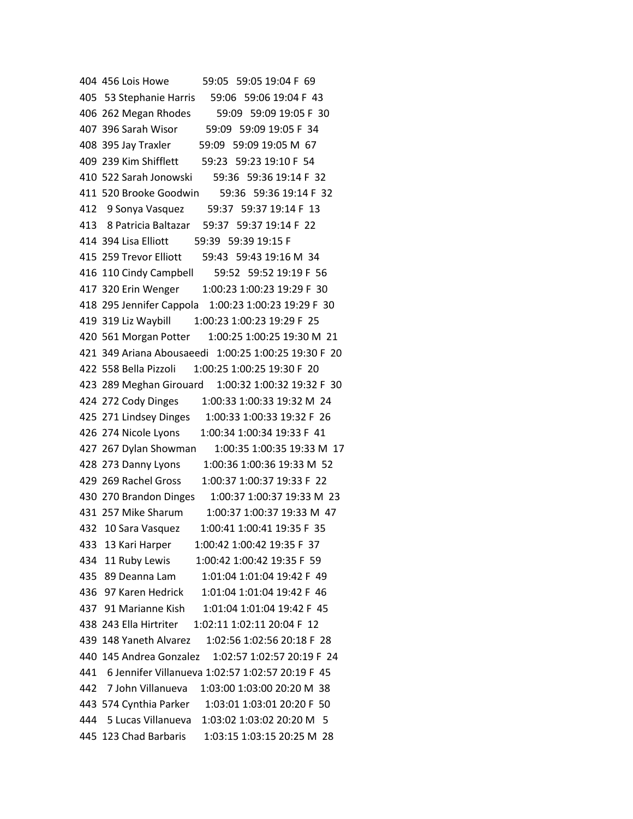404 456 Lois Howe 59:05 59:05 19:04 F 69 405 53 Stephanie Harris 59:06 59:06 19:04 F 43 406 262 Megan Rhodes 59:09 59:09 19:05 F 30 407 396 Sarah Wisor 59:09 59:09 19:05 F 34 408 395 Jay Traxler 59:09 59:09 19:05 M 67 409 239 Kim Shifflett 59:23 59:23 19:10 F 54 410 522 Sarah Jonowski 59:36 59:36 19:14 F 32 411 520 Brooke Goodwin 59:36 59:36 19:14 F 32 412 9 Sonya Vasquez 59:37 59:37 19:14 F 13 413 8 Patricia Baltazar 59:37 59:37 19:14 F 22 414 394 Lisa Elliott 59:39 59:39 19:15 F 415 259 Trevor Elliott 59:43 59:43 19:16 M 34 416 110 Cindy Campbell 59:52 59:52 19:19 F 56 417 320 Erin Wenger 1:00:23 1:00:23 19:29 F 30 418 295 Jennifer Cappola 1:00:23 1:00:23 19:29 F 30 419 319 Liz Waybill 1:00:23 1:00:23 19:29 F 25 420 561 Morgan Potter 1:00:25 1:00:25 19:30 M 21 421 349 Ariana Abousaeedi 1:00:25 1:00:25 19:30 F 20 422 558 Bella Pizzoli 1:00:25 1:00:25 19:30 F 20 423 289 Meghan Girouard 1:00:32 1:00:32 19:32 F 30 424 272 Cody Dinges 1:00:33 1:00:33 19:32 M 24 425 271 Lindsey Dinges 1:00:33 1:00:33 19:32 F 26 426 274 Nicole Lyons 1:00:34 1:00:34 19:33 F 41 427 267 Dylan Showman 1:00:35 1:00:35 19:33 M 17 428 273 Danny Lyons 1:00:36 1:00:36 19:33 M 52 429 269 Rachel Gross 1:00:37 1:00:37 19:33 F 22 430 270 Brandon Dinges 1:00:37 1:00:37 19:33 M 23 431 257 Mike Sharum 1:00:37 1:00:37 19:33 M 47 432 10 Sara Vasquez 1:00:41 1:00:41 19:35 F 35 433 13 Kari Harper 1:00:42 1:00:42 19:35 F 37 434 11 Ruby Lewis 1:00:42 1:00:42 19:35 F 59 435 89 Deanna Lam 1:01:04 1:01:04 19:42 F 49 436 97 Karen Hedrick 1:01:04 1:01:04 19:42 F 46 437 91 Marianne Kish 1:01:04 1:01:04 19:42 F 45 438 243 Ella Hirtriter 1:02:11 1:02:11 20:04 F 12 439 148 Yaneth Alvarez 1:02:56 1:02:56 20:18 F 28 440 145 Andrea Gonzalez 1:02:57 1:02:57 20:19 F 24 441 6 Jennifer Villanueva 1:02:57 1:02:57 20:19 F 45 442 7 John Villanueva 1:03:00 1:03:00 20:20 M 38 443 574 Cynthia Parker 1:03:01 1:03:01 20:20 F 50 444 5 Lucas Villanueva 1:03:02 1:03:02 20:20 M 5 445 123 Chad Barbaris 1:03:15 1:03:15 20:25 M 28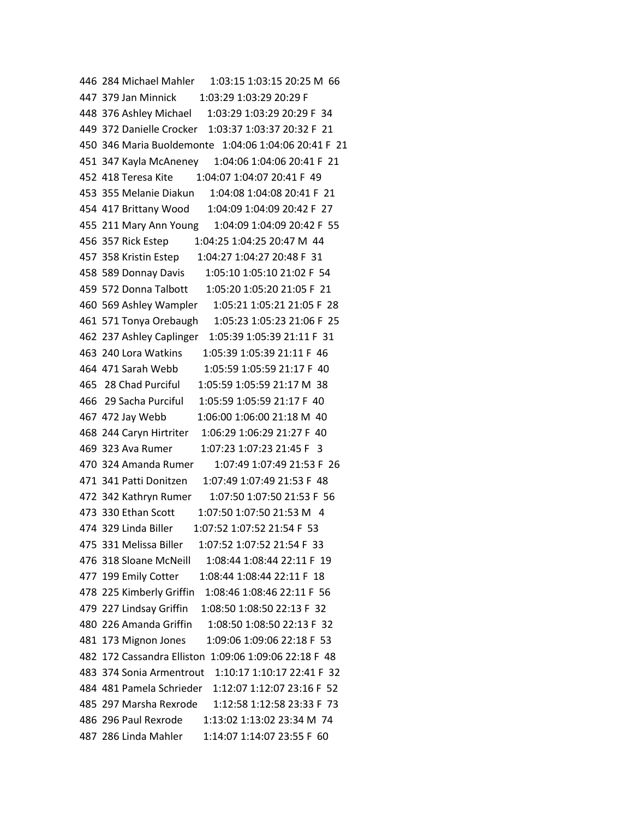446 284 Michael Mahler 1:03:15 1:03:15 20:25 M 66 447 379 Jan Minnick 1:03:29 1:03:29 20:29 F 448 376 Ashley Michael 1:03:29 1:03:29 20:29 F 34 449 372 Danielle Crocker 1:03:37 1:03:37 20:32 F 21 450 346 Maria Buoldemonte 1:04:06 1:04:06 20:41 F 21 451 347 Kayla McAneney 1:04:06 1:04:06 20:41 F 21 452 418 Teresa Kite 1:04:07 1:04:07 20:41 F 49 453 355 Melanie Diakun 1:04:08 1:04:08 20:41 F 21 454 417 Brittany Wood 1:04:09 1:04:09 20:42 F 27 455 211 Mary Ann Young 1:04:09 1:04:09 20:42 F 55 456 357 Rick Estep 1:04:25 1:04:25 20:47 M 44 457 358 Kristin Estep 1:04:27 1:04:27 20:48 F 31 458 589 Donnay Davis 1:05:10 1:05:10 21:02 F 54 459 572 Donna Talbott 1:05:20 1:05:20 21:05 F 21 460 569 Ashley Wampler 1:05:21 1:05:21 21:05 F 28 461 571 Tonya Orebaugh 1:05:23 1:05:23 21:06 F 25 462 237 Ashley Caplinger 1:05:39 1:05:39 21:11 F 31 463 240 Lora Watkins 1:05:39 1:05:39 21:11 F 46 464 471 Sarah Webb 1:05:59 1:05:59 21:17 F 40 465 28 Chad Purciful 1:05:59 1:05:59 21:17 M 38 466 29 Sacha Purciful 1:05:59 1:05:59 21:17 F 40 467 472 Jay Webb 1:06:00 1:06:00 21:18 M 40 468 244 Caryn Hirtriter 1:06:29 1:06:29 21:27 F 40 469 323 Ava Rumer 1:07:23 1:07:23 21:45 F 3 470 324 Amanda Rumer 1:07:49 1:07:49 21:53 F 26 471 341 Patti Donitzen 1:07:49 1:07:49 21:53 F 48 472 342 Kathryn Rumer 1:07:50 1:07:50 21:53 F 56 473 330 Ethan Scott 1:07:50 1:07:50 21:53 M 4 474 329 Linda Biller 1:07:52 1:07:52 21:54 F 53 475 331 Melissa Biller 1:07:52 1:07:52 21:54 F 33 476 318 Sloane McNeill 1:08:44 1:08:44 22:11 F 19 477 199 Emily Cotter 1:08:44 1:08:44 22:11 F 18 478 225 Kimberly Griffin 1:08:46 1:08:46 22:11 F 56 479 227 Lindsay Griffin 1:08:50 1:08:50 22:13 F 32 480 226 Amanda Griffin 1:08:50 1:08:50 22:13 F 32 481 173 Mignon Jones 1:09:06 1:09:06 22:18 F 53 482 172 Cassandra Elliston 1:09:06 1:09:06 22:18 F 48 483 374 Sonia Armentrout 1:10:17 1:10:17 22:41 F 32 484 481 Pamela Schrieder 1:12:07 1:12:07 23:16 F 52 485 297 Marsha Rexrode 1:12:58 1:12:58 23:33 F 73 486 296 Paul Rexrode 1:13:02 1:13:02 23:34 M 74 487 286 Linda Mahler 1:14:07 1:14:07 23:55 F 60